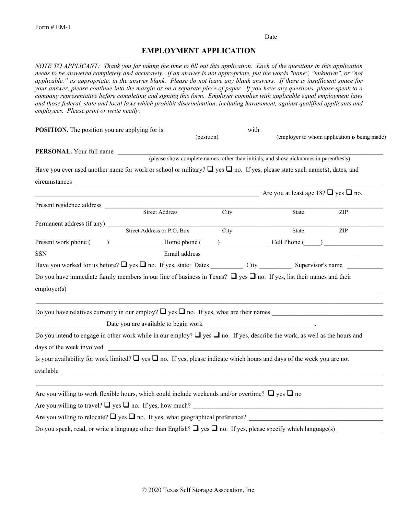Date  $\Box$ 

## **EMPLOYMENT APPLICATION**

*NOTE TO APPLICANT: Thank you for taking the time to fill out this application. Each of the questions in this application needs to be answered completely and accurately. If an answer is not appropriate, put the words "none", "unknown", or "not applicable," as appropriate, in the answer blank. Please do not leave any blank answers. If there is insufficient space for your answer, please continue into the margin or on a separate piece of paper. If you have any questions, please speak to a company representative before completing and signing this form. Employer complies with applicable equal employment laws and those federal, state and local laws which prohibit discrimination, including harassment, against qualified applicants and employees. Please print or write neatly:* 

| <b>POSITION.</b> The position you are applying for is                                                                                |                                                                         |                            | with |       |                                              |
|--------------------------------------------------------------------------------------------------------------------------------------|-------------------------------------------------------------------------|----------------------------|------|-------|----------------------------------------------|
|                                                                                                                                      |                                                                         | (position)                 |      |       | (employer to whom application is being made) |
|                                                                                                                                      |                                                                         |                            |      |       |                                              |
| <b>PERSONAL.</b> Your full name (please show complete names rather than initials, and show nicknames in parenthesis)                 |                                                                         |                            |      |       |                                              |
| Have you ever used another name for work or school or military? $\Box$ yes $\Box$ no. If yes, please state such name(s), dates, and  |                                                                         |                            |      |       |                                              |
|                                                                                                                                      |                                                                         |                            |      |       |                                              |
|                                                                                                                                      | $\overline{\phantom{a}}$ Are you at least age 18? $\Box$ yes $\Box$ no. |                            |      |       |                                              |
| Present residence address                                                                                                            | Street Address                                                          |                            |      |       |                                              |
|                                                                                                                                      |                                                                         | City                       |      | State | ZIP                                          |
| Permanent address (if any) Street Address or P.O. Box                                                                                |                                                                         | $\overline{\mathrm{City}}$ |      | State | ZIP                                          |
| Present work phone ( ) Home phone ( ) Cell Phone ( ) Cell Phone ( ) )                                                                |                                                                         |                            |      |       |                                              |
|                                                                                                                                      |                                                                         |                            |      |       |                                              |
| Have you worked for us before? $\Box$ yes $\Box$ no. If yes, state: Dates City City Supervisor's name                                |                                                                         |                            |      |       |                                              |
| Do you have immediate family members in our line of business in Texas? $\Box$ yes $\Box$ no. If yes, list their names and their      |                                                                         |                            |      |       |                                              |
| employer(s)                                                                                                                          |                                                                         |                            |      |       |                                              |
|                                                                                                                                      |                                                                         |                            |      |       |                                              |
|                                                                                                                                      |                                                                         |                            |      |       |                                              |
|                                                                                                                                      |                                                                         |                            |      |       |                                              |
| Do you intend to engage in other work while in our employ? $\Box$ yes $\Box$ no. If yes, describe the work, as well as the hours and |                                                                         |                            |      |       |                                              |
| days of the week involved                                                                                                            |                                                                         |                            |      |       |                                              |
| Is your availability for work limited? $\Box$ yes $\Box$ no. If yes, please indicate which hours and days of the week you are not    |                                                                         |                            |      |       |                                              |
|                                                                                                                                      |                                                                         |                            |      |       |                                              |
|                                                                                                                                      |                                                                         |                            |      |       |                                              |
| Are you willing to work flexible hours, which could include weekends and/or overtime? $\Box$ yes $\Box$ no                           |                                                                         |                            |      |       |                                              |
|                                                                                                                                      |                                                                         |                            |      |       |                                              |
| Are you willing to relocate? $\Box$ yes $\Box$ no. If yes, what geographical preference?                                             |                                                                         |                            |      |       |                                              |
|                                                                                                                                      |                                                                         |                            |      |       |                                              |
|                                                                                                                                      |                                                                         |                            |      |       |                                              |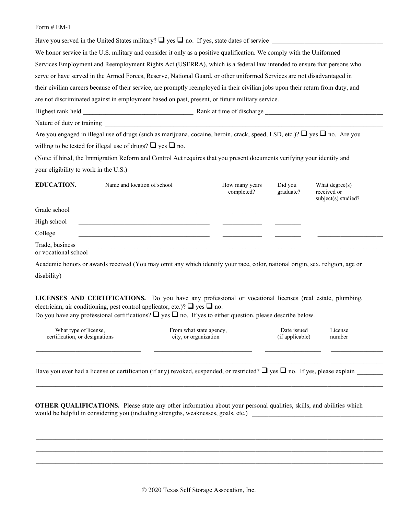Have you served in the United States military?  $\Box$  yes  $\Box$  no. If yes, state dates of service We honor service in the U.S. military and consider it only as a positive qualification. We comply with the Uniformed Services Employment and Reemployment Rights Act (USERRA), which is a federal law intended to ensure that persons who serve or have served in the Armed Forces, Reserve, National Guard, or other uniformed Services are not disadvantaged in their civilian careers because of their service, are promptly reemployed in their civilian jobs upon their return from duty, and are not discriminated against in employment based on past, present, or future military service.

Highest rank held **Exercise 2.** Rank at time of discharge  $\blacksquare$ 

Nature of duty or training

Are you engaged in illegal use of drugs (such as marijuana, cocaine, heroin, crack, speed, LSD, etc.)?  $\Box$  yes  $\Box$  no. Are you willing to be tested for illegal use of drugs?  $\Box$  yes  $\Box$  no.

(Note: if hired, the Immigration Reform and Control Act requires that you present documents verifying your identity and your eligibility to work in the U.S.)

| <b>EDUCATION.</b>                       | Name and location of school | How many years<br>completed? | Did you<br>graduate? | What degree $(s)$<br>received or<br>subject(s) studied? |
|-----------------------------------------|-----------------------------|------------------------------|----------------------|---------------------------------------------------------|
| Grade school                            |                             |                              |                      |                                                         |
| High school                             |                             |                              |                      |                                                         |
| College                                 |                             |                              |                      |                                                         |
| Trade, business<br>or vocational school |                             |                              |                      |                                                         |

Academic honors or awards received (You may omit any which identify your race, color, national origin, sex, religion, age or  ${\rm dissibility)}$  are the contract of the contract of the contract of the contract of the contract of the contract of the contract of the contract of the contract of the contract of the contract of the contract of the contract of t

**LICENSES AND CERTIFICATIONS.** Do you have any professional or vocational licenses (real estate, plumbing, electrician, air conditioning, pest control applicator, etc.)?  $\Box$  yes  $\Box$  no.

Do you have any professional certifications?  $\Box$  yes  $\Box$  no. If yes to either question, please describe below.

| What type of license,          | From what state agency, | Date issued     | License |
|--------------------------------|-------------------------|-----------------|---------|
| certification, or designations | city, or organization   | (if applicable) | number  |
|                                |                         |                 |         |

\_\_\_\_\_\_\_\_\_\_\_\_\_\_\_\_\_\_\_\_\_\_\_\_\_\_\_\_\_\_\_\_ \_\_\_\_\_\_\_\_\_\_\_\_\_\_\_\_\_\_\_\_\_\_\_\_\_\_\_\_\_\_ \_\_\_\_\_\_\_\_\_\_\_\_\_\_\_\_\_ \_\_\_\_\_\_\_\_\_\_\_\_\_\_\_\_

\_\_\_\_\_\_\_\_\_\_\_\_\_\_\_\_\_\_\_\_\_\_\_\_\_\_\_\_\_\_\_\_\_\_\_\_\_\_\_\_\_\_\_\_\_\_\_\_\_\_\_\_\_\_\_\_\_\_\_\_\_\_\_\_\_\_\_\_\_\_\_\_\_\_\_\_\_\_\_\_\_\_\_\_\_\_\_\_\_\_\_\_\_\_\_\_\_\_\_\_\_\_\_\_\_\_

 \_\_\_\_\_\_\_\_\_\_\_\_\_\_\_\_\_\_\_\_\_\_\_\_\_\_\_\_\_\_\_\_\_\_\_\_\_\_\_\_\_\_\_\_\_\_\_\_\_\_\_\_\_\_\_\_\_\_\_\_\_\_\_\_\_\_\_\_\_\_\_\_\_\_\_\_\_\_\_\_\_\_\_\_\_\_\_\_\_\_\_\_\_\_\_\_\_\_\_\_\_\_\_\_\_\_ \_\_\_\_\_\_\_\_\_\_\_\_\_\_\_\_\_\_\_\_\_\_\_\_\_\_\_\_\_\_\_\_\_\_\_\_\_\_\_\_\_\_\_\_\_\_\_\_\_\_\_\_\_\_\_\_\_\_\_\_\_\_\_\_\_\_\_\_\_\_\_\_\_\_\_\_\_\_\_\_\_\_\_\_\_\_\_\_\_\_\_\_\_\_\_\_\_\_\_\_\_\_\_\_\_\_ \_\_\_\_\_\_\_\_\_\_\_\_\_\_\_\_\_\_\_\_\_\_\_\_\_\_\_\_\_\_\_\_\_\_\_\_\_\_\_\_\_\_\_\_\_\_\_\_\_\_\_\_\_\_\_\_\_\_\_\_\_\_\_\_\_\_\_\_\_\_\_\_\_\_\_\_\_\_\_\_\_\_\_\_\_\_\_\_\_\_\_\_\_\_\_\_\_\_\_\_\_\_\_\_\_\_ \_\_\_\_\_\_\_\_\_\_\_\_\_\_\_\_\_\_\_\_\_\_\_\_\_\_\_\_\_\_\_\_\_\_\_\_\_\_\_\_\_\_\_\_\_\_\_\_\_\_\_\_\_\_\_\_\_\_\_\_\_\_\_\_\_\_\_\_\_\_\_\_\_\_\_\_\_\_\_\_\_\_\_\_\_\_\_\_\_\_\_\_\_\_\_\_\_\_\_\_\_\_\_\_\_\_

Have you ever had a license or certification (if any) revoked, suspended, or restricted?  $\Box$  yes  $\Box$  no. If yes, please explain

**OTHER QUALIFICATIONS.** Please state any other information about your personal qualities, skills, and abilities which would be helpful in considering you (including strengths, weaknesses, goals, etc.)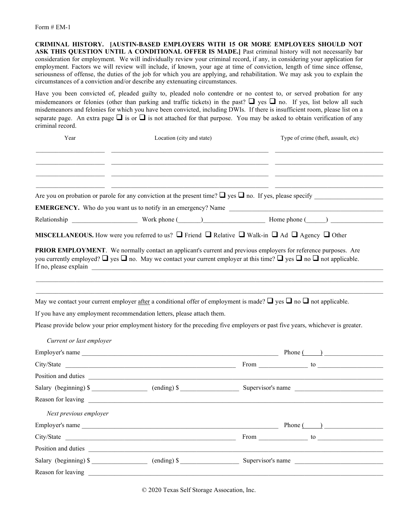**CRIMINAL HISTORY. [AUSTIN-BASED EMPLOYERS WITH 15 OR MORE EMPLOYEES SHOULD NOT ASK THIS QUESTION UNTIL A CONDITIONAL OFFER IS MADE.]** Past criminal history will not necessarily bar consideration for employment. We will individually review your criminal record, if any, in considering your application for employment. Factors we will review will include, if known, your age at time of conviction, length of time since offense, seriousness of offense, the duties of the job for which you are applying, and rehabilitation. We may ask you to explain the circumstances of a conviction and/or describe any extenuating circumstances.

Have you been convicted of, pleaded guilty to, pleaded nolo contendre or no contest to, or served probation for any misdemeanors or felonies (other than parking and traffic tickets) in the past?  $\Box$  yes  $\Box$  no. If yes, list below all such misdemeanors and felonies for which you have been convicted, including DWIs. If there is insufficient room, please list on a separate page. An extra page  $\Box$  is or  $\Box$  is not attached for that purpose. You may be asked to obtain verification of any criminal record.

| Year                     | Location (city and state)                                              | Type of crime (theft, assault, etc)                                                                                                                                                                                                                                     |  |
|--------------------------|------------------------------------------------------------------------|-------------------------------------------------------------------------------------------------------------------------------------------------------------------------------------------------------------------------------------------------------------------------|--|
|                          |                                                                        |                                                                                                                                                                                                                                                                         |  |
|                          |                                                                        | Are you on probation or parole for any conviction at the present time? $\Box$ yes $\Box$ no. If yes, please specify                                                                                                                                                     |  |
|                          |                                                                        |                                                                                                                                                                                                                                                                         |  |
|                          |                                                                        |                                                                                                                                                                                                                                                                         |  |
|                          |                                                                        | <b>MISCELLANEOUS.</b> How were you referred to us? $\Box$ Friend $\Box$ Relative $\Box$ Walk-in $\Box$ Ad $\Box$ Agency $\Box$ Other                                                                                                                                    |  |
| If no, please explain    | <u> 1989 - John Stein, Amerikaansk politiker (* 1918)</u>              | <b>PRIOR EMPLOYMENT</b> . We normally contact an applicant's current and previous employers for reference purposes. Are<br>you currently employed? $\Box$ yes $\Box$ no. May we contact your current employer at this time? $\Box$ yes $\Box$ no $\Box$ not applicable. |  |
|                          |                                                                        | May we contact your current employer after a conditional offer of employment is made? $\Box$ yes $\Box$ no $\Box$ not applicable.                                                                                                                                       |  |
|                          | If you have any employment recommendation letters, please attach them. |                                                                                                                                                                                                                                                                         |  |
|                          |                                                                        | Please provide below your prior employment history for the preceding five employers or past five years, whichever is greater.                                                                                                                                           |  |
| Current or last employer |                                                                        |                                                                                                                                                                                                                                                                         |  |
|                          |                                                                        |                                                                                                                                                                                                                                                                         |  |
|                          |                                                                        |                                                                                                                                                                                                                                                                         |  |
|                          |                                                                        |                                                                                                                                                                                                                                                                         |  |
|                          | Position and duties <u>experiences</u>                                 |                                                                                                                                                                                                                                                                         |  |
|                          |                                                                        | Salary (beginning) \$ ___________________ (ending) \$ _____________________________ Supervisor's name                                                                                                                                                                   |  |
|                          |                                                                        |                                                                                                                                                                                                                                                                         |  |
| Next previous employer   |                                                                        |                                                                                                                                                                                                                                                                         |  |
|                          |                                                                        | Phone $\qquad \qquad$                                                                                                                                                                                                                                                   |  |
|                          | Employer's name<br>City/State                                          |                                                                                                                                                                                                                                                                         |  |
|                          |                                                                        |                                                                                                                                                                                                                                                                         |  |
|                          | Salary (beginning) \$ (ending) \$                                      | Supervisor's name                                                                                                                                                                                                                                                       |  |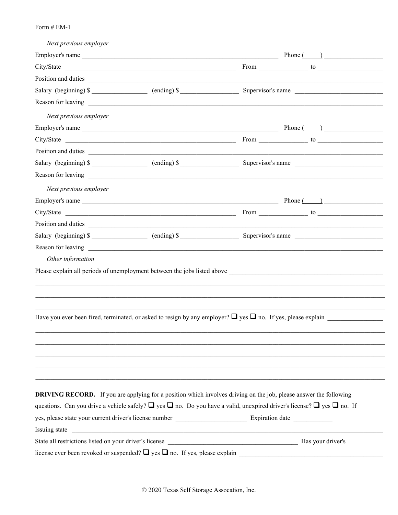| Next previous employer |                                                                                                                                            |                                                                                                                        |
|------------------------|--------------------------------------------------------------------------------------------------------------------------------------------|------------------------------------------------------------------------------------------------------------------------|
|                        |                                                                                                                                            | Phone $(\_\_\_\_\_\$ <sub><math>\_\_\_</math></sub>                                                                    |
|                        |                                                                                                                                            |                                                                                                                        |
|                        |                                                                                                                                            |                                                                                                                        |
|                        |                                                                                                                                            |                                                                                                                        |
|                        |                                                                                                                                            |                                                                                                                        |
| Next previous employer |                                                                                                                                            |                                                                                                                        |
|                        |                                                                                                                                            |                                                                                                                        |
|                        |                                                                                                                                            |                                                                                                                        |
|                        |                                                                                                                                            |                                                                                                                        |
|                        |                                                                                                                                            |                                                                                                                        |
|                        |                                                                                                                                            |                                                                                                                        |
| Next previous employer |                                                                                                                                            |                                                                                                                        |
|                        |                                                                                                                                            |                                                                                                                        |
|                        |                                                                                                                                            |                                                                                                                        |
|                        | Position and duties                                                                                                                        |                                                                                                                        |
|                        |                                                                                                                                            |                                                                                                                        |
|                        |                                                                                                                                            |                                                                                                                        |
| Other information      |                                                                                                                                            |                                                                                                                        |
|                        |                                                                                                                                            |                                                                                                                        |
|                        |                                                                                                                                            | Have you ever been fired, terminated, or asked to resign by any employer? $\Box$ yes $\Box$ no. If yes, please explain |
|                        |                                                                                                                                            |                                                                                                                        |
|                        | <b>DRIVING RECORD.</b> If you are applying for a position which involves driving on the job, please answer the following                   |                                                                                                                        |
|                        | questions. Can you drive a vehicle safely? $\Box$ yes $\Box$ no. Do you have a valid, unexpired driver's license? $\Box$ yes $\Box$ no. If |                                                                                                                        |
|                        | yes, please state your current driver's license number __________________________ Expiration date ____________                             |                                                                                                                        |
| Issuing state          | <u> 1980 - Jan Barbara, martxa al II-lea (h. 1980).</u>                                                                                    |                                                                                                                        |
|                        |                                                                                                                                            |                                                                                                                        |
|                        |                                                                                                                                            |                                                                                                                        |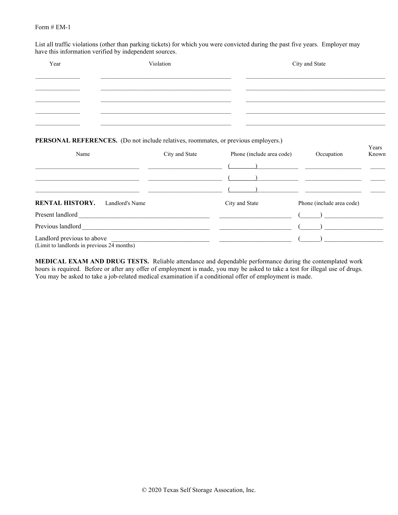List all traffic violations (other than parking tickets) for which you were convicted during the past five years. Employer may have this information verified by independent sources.

| Year                                                                                                                  | Violation                                                                                                             |                           | City and State                                                                                                                                                                                                                                                                                                                                   |                |  |
|-----------------------------------------------------------------------------------------------------------------------|-----------------------------------------------------------------------------------------------------------------------|---------------------------|--------------------------------------------------------------------------------------------------------------------------------------------------------------------------------------------------------------------------------------------------------------------------------------------------------------------------------------------------|----------------|--|
|                                                                                                                       | <u> 1989 - Johann Stoff, deutscher Stoff, der Stoff, der Stoff, der Stoff, der Stoff, der Stoff, der Stoff, der S</u> |                           |                                                                                                                                                                                                                                                                                                                                                  |                |  |
| <b>PERSONAL REFERENCES.</b> (Do not include relatives, roommates, or previous employers.)<br>Name                     | City and State                                                                                                        | Phone (include area code) | Occupation                                                                                                                                                                                                                                                                                                                                       | Years<br>Known |  |
| <u> 1989 - Johann Harry Harry Harry Harry Harry Harry Harry Harry Harry Harry Harry Harry Harry Harry Harry Harry</u> |                                                                                                                       |                           |                                                                                                                                                                                                                                                                                                                                                  |                |  |
| <b>RENTAL HISTORY.</b> Landlord's Name                                                                                |                                                                                                                       | City and State            | Phone (include area code)                                                                                                                                                                                                                                                                                                                        |                |  |
|                                                                                                                       |                                                                                                                       |                           | $\begin{pmatrix} 1 & 1 \\ 1 & 1 \end{pmatrix}$                                                                                                                                                                                                                                                                                                   |                |  |
|                                                                                                                       |                                                                                                                       |                           | $\begin{picture}(20,20)(-0.0,0.0) \put(0,0){\line(1,0){10}} \put(15,0){\line(1,0){10}} \put(15,0){\line(1,0){10}} \put(15,0){\line(1,0){10}} \put(15,0){\line(1,0){10}} \put(15,0){\line(1,0){10}} \put(15,0){\line(1,0){10}} \put(15,0){\line(1,0){10}} \put(15,0){\line(1,0){10}} \put(15,0){\line(1,0){10}} \put(15,0){\line(1,0){10}} \put($ |                |  |
| Landlord previous to above<br>(Limit to landlords in previous 24 months)                                              | <u> 1980 - Johann John Stone, mars et al. (</u> 1980)                                                                 |                           |                                                                                                                                                                                                                                                                                                                                                  |                |  |

**MEDICAL EXAM AND DRUG TESTS.** Reliable attendance and dependable performance during the contemplated work hours is required. Before or after any offer of employment is made, you may be asked to take a test for illegal use of drugs. You may be asked to take a job-related medical examination if a conditional offer of employment is made.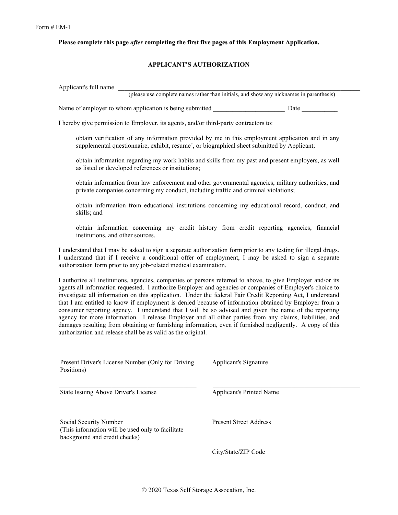**Please complete this page** *after* **completing the first five pages of this Employment Application.** 

## **APPLICANT'S AUTHORIZATION**

Applicant's full name (please use complete names rather than initials, and show any nicknames in parenthesis) Name of employer to whom application is being submitted Date Date I hereby give permission to Employer, its agents, and/or third-party contractors to: obtain verification of any information provided by me in this employment application and in any supplemental questionnaire, exhibit, resume´, or biographical sheet submitted by Applicant;

obtain information regarding my work habits and skills from my past and present employers, as well as listed or developed references or institutions;

obtain information from law enforcement and other governmental agencies, military authorities, and private companies concerning my conduct, including traffic and criminal violations;

obtain information from educational institutions concerning my educational record, conduct, and skills; and

obtain information concerning my credit history from credit reporting agencies, financial institutions, and other sources.

I understand that I may be asked to sign a separate authorization form prior to any testing for illegal drugs. I understand that if I receive a conditional offer of employment, I may be asked to sign a separate authorization form prior to any job-related medical examination.

I authorize all institutions, agencies, companies or persons referred to above, to give Employer and/or its agents all information requested. I authorize Employer and agencies or companies of Employer's choice to investigate all information on this application. Under the federal Fair Credit Reporting Act, I understand that I am entitled to know if employment is denied because of information obtained by Employer from a consumer reporting agency. I understand that I will be so advised and given the name of the reporting agency for more information. I release Employer and all other parties from any claims, liabilities, and damages resulting from obtaining or furnishing information, even if furnished negligently. A copy of this authorization and release shall be as valid as the original.

\_\_\_\_\_\_\_\_\_\_\_\_\_\_\_\_\_\_\_\_\_\_\_\_\_\_\_\_\_\_\_\_\_\_\_\_\_\_\_\_\_\_ \_\_\_\_\_\_\_\_\_\_\_\_\_\_\_\_\_\_\_\_\_\_\_\_\_\_\_\_\_\_\_\_\_\_\_\_\_\_\_\_\_\_\_\_\_

 $\_$  , and the state of the state of the state of the state of the state of the state of the state of the state of the state of the state of the state of the state of the state of the state of the state of the state of the

\_\_\_\_\_\_\_\_\_\_\_\_\_\_\_\_\_\_\_\_\_\_\_\_\_\_\_\_\_\_\_\_\_\_\_\_\_\_\_\_\_\_ \_\_\_\_\_\_\_\_\_\_\_\_\_\_\_\_\_\_\_\_\_\_\_\_\_\_\_\_\_\_\_\_\_\_\_\_\_\_\_\_\_\_\_\_\_

Present Driver's License Number (Only for Driving Applicant's Signature Positions)

State Issuing Above Driver's License Applicant's Printed Name

Social Security Number Present Street Address (This information will be used only to facilitate background and credit checks)

\_\_\_\_\_\_\_\_\_\_\_\_\_\_\_\_\_\_\_\_\_\_\_\_\_\_\_\_\_\_\_\_\_\_\_\_\_\_

City/State/ZIP Code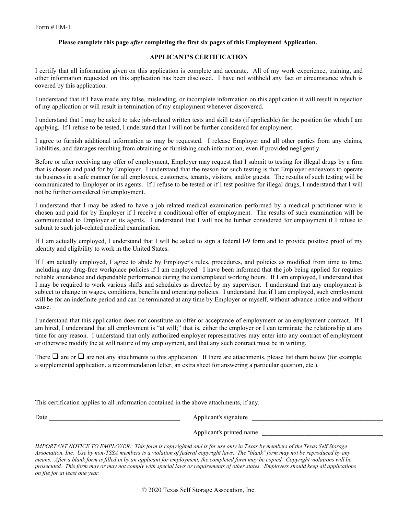#### **Please complete this page** *after* **completing the first six pages of this Employment Application.**

#### **APPLICANT'S CERTIFICATION**

I certify that all information given on this application is complete and accurate. All of my work experience, training, and other information requested on this application has been disclosed. I have not withheld any fact or circumstance which is covered by this application.

I understand that if I have made any false, misleading, or incomplete information on this application it will result in rejection of my application or will result in termination of my employment whenever discovered.

I understand that I may be asked to take job-related written tests and skill tests (if applicable) for the position for which I am applying. If I refuse to be tested, I understand that I will not be further considered for employment.

I agree to furnish additional information as may be requested. I release Employer and all other parties from any claims, liabilities, and damages resulting from obtaining or furnishing such information, even if provided negligently.

Before or after receiving any offer of employment, Employer may request that I submit to testing for illegal drugs by a firm that is chosen and paid for by Employer. I understand that the reason for such testing is that Employer endeavors to operate its business in a safe manner for all employees, customers, tenants, visitors, and/or guests. The results of such testing will be communicated to Employer or its agents. If I refuse to be tested or if I test positive for illegal drugs, I understand that I will not be further considered for employment.

I understand that I may be asked to have a job-related medical examination performed by a medical practitioner who is chosen and paid for by Employer if I receive a conditional offer of employment. The results of such examination will be communicated to Employer or its agents. I understand that I will not be further considered for employment if I refuse to submit to such job-related medical examination.

If I am actually employed, I understand that I will be asked to sign a federal I-9 form and to provide positive proof of my identity and eligibility to work in the United States.

If I am actually employed, I agree to abide by Employer's rules, procedures, and policies as modified from time to time, including any drug-free workplace policies if I am employed. I have been informed that the job being applied for requires reliable attendance and dependable performance during the contemplated working hours. If I am employed, I understand that I may be required to work various shifts and schedules as directed by my supervisor. I understand that any employment is subject to change in wages, conditions, benefits and operating policies. I understand that if I am employed, such employment will be for an indefinite period and can be terminated at any time by Employer or myself, without advance notice and without cause.

I understand that this application does not constitute an offer or acceptance of employment or an employment contract. If I am hired, I understand that all employment is "at will;" that is, either the employer or I can terminate the relationship at any time for any reason. I understand that only authorized employer representatives may enter into any contract of employment or otherwise modify the at will nature of my employment, and that any such contract must be in writing.

There  $\Box$  are or  $\Box$  are not any attachments to this application. If there are attachments, please list them below (for example, a supplemental application, a recommendation letter, an extra sheet for answering a particular question, etc.).

This certification applies to all information contained in the above attachments, if any.

Date \_\_\_\_\_\_\_\_\_\_\_\_\_\_\_\_\_\_\_\_\_\_\_\_\_\_\_\_\_\_\_\_\_\_\_\_\_\_\_\_ Applicant's signature \_\_\_\_\_\_\_\_\_\_\_\_\_\_\_\_\_\_\_\_\_\_\_\_\_\_\_\_\_\_\_\_\_\_\_\_\_\_\_\_

Applicant's printed name

*IMPORTANT NOTICE TO EMPLOYER: This form is copyrighted and is for use only in Texas by members of the Texas Self Storage Association, Inc. Use by non-TSSA members is a violation of federal copyright laws. The "blank" form may not be reproduced by any means. After a blank form is filled in by an applicant for employment, the completed form may be copied. Copyright violations will be prosecuted. This form may or may not comply with special laws or requirements of other states. Employers should keep all applications on file for at least one year.* 

© 2020 Texas Self Storage Assocation, Inc.